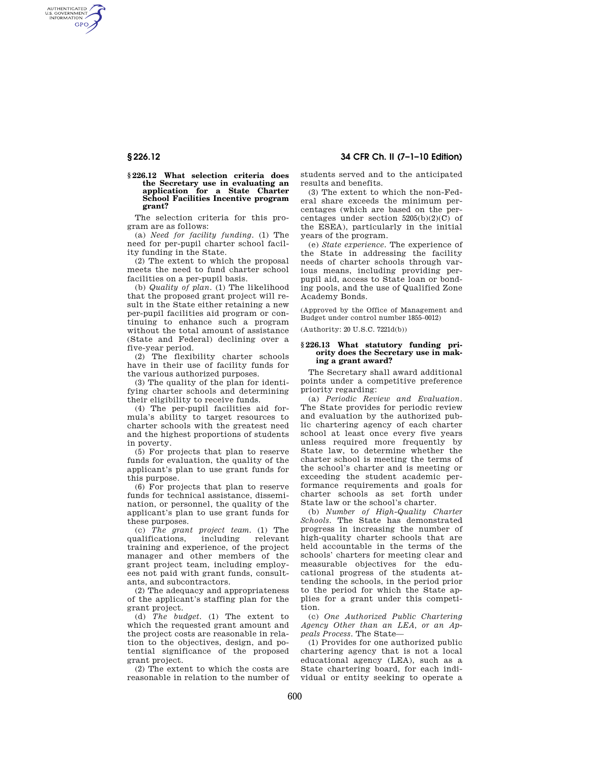AUTHENTICATED<br>U.S. GOVERNMENT<br>INFORMATION **GPO** 

# **§ 226.12 34 CFR Ch. II (7–1–10 Edition)**

#### **§ 226.12 What selection criteria does the Secretary use in evaluating an application for a State Charter School Facilities Incentive program grant?**

The selection criteria for this program are as follows:

(a) *Need for facility funding*. (1) The need for per-pupil charter school facility funding in the State.

(2) The extent to which the proposal meets the need to fund charter school facilities on a per-pupil basis.

(b) *Quality of plan*. (1) The likelihood that the proposed grant project will result in the State either retaining a new per-pupil facilities aid program or continuing to enhance such a program without the total amount of assistance (State and Federal) declining over a five-year period.

(2) The flexibility charter schools have in their use of facility funds for the various authorized purposes.

(3) The quality of the plan for identifying charter schools and determining their eligibility to receive funds.

(4) The per-pupil facilities aid formula's ability to target resources to charter schools with the greatest need and the highest proportions of students in poverty.

(5) For projects that plan to reserve funds for evaluation, the quality of the applicant's plan to use grant funds for this purpose.

(6) For projects that plan to reserve funds for technical assistance, dissemination, or personnel, the quality of the applicant's plan to use grant funds for these purposes.

(c) *The grant project team*. (1) The qualifications, training and experience, of the project manager and other members of the grant project team, including employees not paid with grant funds, consultants, and subcontractors.

(2) The adequacy and appropriateness of the applicant's staffing plan for the grant project.

(d) *The budget*. (1) The extent to which the requested grant amount and the project costs are reasonable in relation to the objectives, design, and potential significance of the proposed grant project.

(2) The extent to which the costs are reasonable in relation to the number of students served and to the anticipated results and benefits.

(3) The extent to which the non-Federal share exceeds the minimum percentages (which are based on the percentages under section 5205(b)(2)(C) of the ESEA), particularly in the initial years of the program.

(e) *State experience*. The experience of the State in addressing the facility needs of charter schools through various means, including providing perpupil aid, access to State loan or bonding pools, and the use of Qualified Zone Academy Bonds.

(Approved by the Office of Management and Budget under control number 1855–0012)

(Authority: 20 U.S.C. 7221d(b))

### **§ 226.13 What statutory funding priority does the Secretary use in making a grant award?**

The Secretary shall award additional points under a competitive preference priority regarding:

(a) *Periodic Review and Evaluation*. The State provides for periodic review and evaluation by the authorized public chartering agency of each charter school at least once every five years unless required more frequently by State law, to determine whether the charter school is meeting the terms of the school's charter and is meeting or exceeding the student academic performance requirements and goals for charter schools as set forth under State law or the school's charter.

(b) *Number of High-Quality Charter Schools*. The State has demonstrated progress in increasing the number of high-quality charter schools that are held accountable in the terms of the schools' charters for meeting clear and measurable objectives for the educational progress of the students attending the schools, in the period prior to the period for which the State applies for a grant under this competition.

(c) *One Authorized Public Chartering Agency Other than an LEA, or an Appeals Process*. The State—

(1) Provides for one authorized public chartering agency that is not a local educational agency (LEA), such as a State chartering board, for each individual or entity seeking to operate a